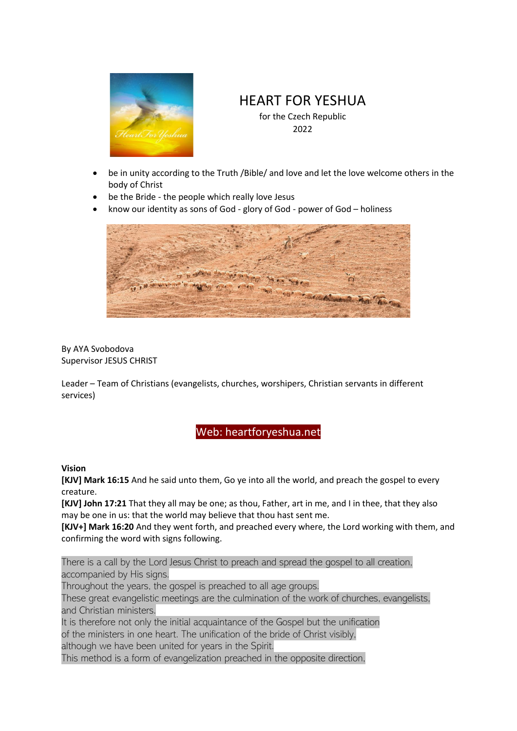

## HEART FOR YESHUA

for the Czech Republic 2022

- be in unity according to the Truth /Bible/ and love and let the love welcome others in the body of Christ
- be the Bride the people which really love Jesus
- know our identity as sons of God glory of God power of God holiness



By AYA Svobodova Supervisor JESUS CHRIST

Leader – Team of Christians (evangelists, churches, worshipers, Christian servants in different services)

## Web: heartforyeshua.net

## **Vision**

**[KJV] Mark 16:15** And he said unto them, Go ye into all the world, and preach the gospel to every creature.

**[KJV] John 17:21** That they all may be one; as thou, Father, art in me, and I in thee, that they also may be one in us: that the world may believe that thou hast sent me.

**[KJV+] Mark 16:20** And they went forth, and preached every where, the Lord working with them, and confirming the word with signs following.

There is a call by the Lord Jesus Christ to preach and spread the gospel to all creation, accompanied by His signs.

Throughout the years, the gospel is preached to all age groups.

These great evangelistic meetings are the culmination of the work of churches, evangelists, and Christian ministers.

It is therefore not only the initial acquaintance of the Gospel but the unification of the ministers in one heart. The unification of the bride of Christ visibly, although we have been united for years in the Spirit.

This method is a form of evangelization preached in the opposite direction,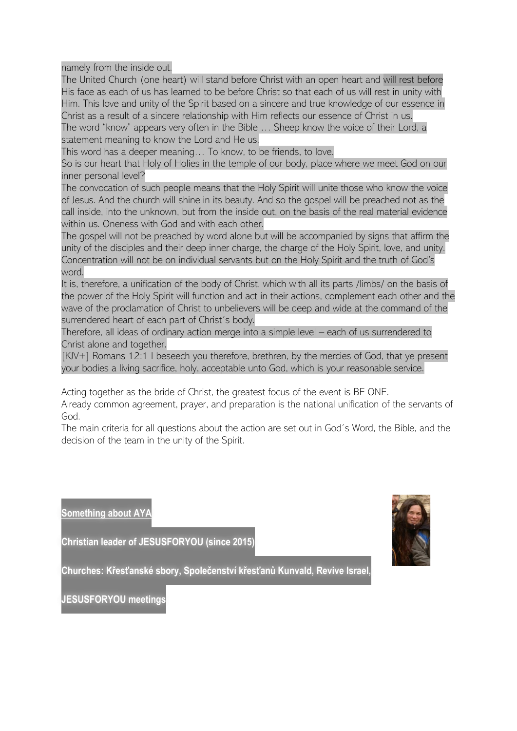namely from the inside out.

The United Church (one heart) will stand before Christ with an open heart and will rest before His face as each of us has learned to be before Christ so that each of us will rest in unity with Him. This love and unity of the Spirit based on a sincere and true knowledge of our essence in Christ as a result of a sincere relationship with Him reflects our essence of Christ in us. The word "know" appears very often in the Bible … Sheep know the voice of their Lord, a statement meaning to know the Lord and He us.

This word has a deeper meaning… To know, to be friends, to love.

So is our heart that Holy of Holies in the temple of our body, place where we meet God on our inner personal level?

The convocation of such people means that the Holy Spirit will unite those who know the voice of Jesus. And the church will shine in its beauty. And so the gospel will be preached not as the call inside, into the unknown, but from the inside out, on the basis of the real material evidence within us. Oneness with God and with each other.

The gospel will not be preached by word alone but will be accompanied by signs that affirm the unity of the disciples and their deep inner charge, the charge of the Holy Spirit, love, and unity. Concentration will not be on individual servants but on the Holy Spirit and the truth of God's word.

It is, therefore, a unification of the body of Christ, which with all its parts /limbs/ on the basis of the power of the Holy Spirit will function and act in their actions, complement each other and the wave of the proclamation of Christ to unbelievers will be deep and wide at the command of the surrendered heart of each part of Christ´s body.

Therefore, all ideas of ordinary action merge into a simple level – each of us surrendered to Christ alone and together.

[KJV+] Romans 12:1 I beseech you therefore, brethren, by the mercies of God, that ye present your bodies a living sacrifice, holy, acceptable unto God, which is your reasonable service.

Acting together as the bride of Christ, the greatest focus of the event is BE ONE.

Already common agreement, prayer, and preparation is the national unification of the servants of God.

The main criteria for all questions about the action are set out in God´s Word, the Bible, and the decision of the team in the unity of the Spirit.

**Something about AY** 

**Christian leader of JESUSFORYOU (since 2015)**



**Churches: Křesťanské sbory, Společenství křesťanů Kunvald, Revive Israel,** 

**JESUSFORYOU meetings**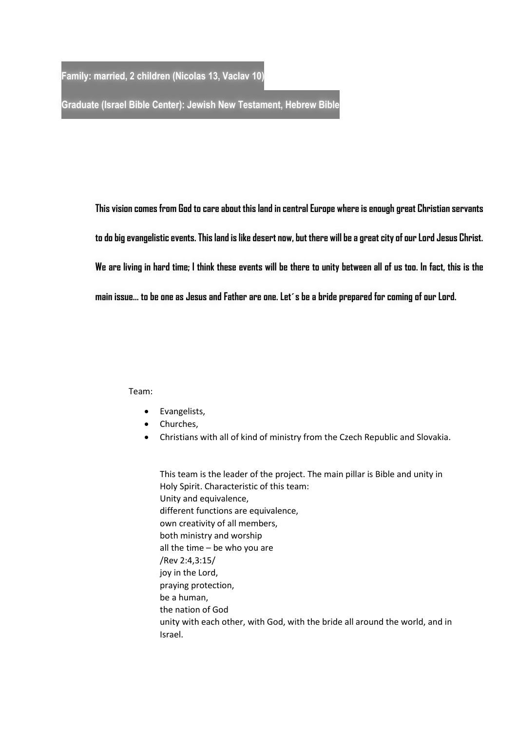**Family: married, 2 children (Nicolas 13, Vaclav 10)**

**Graduate (Israel Bible Center): Jewish New Testament, Hebrew Bible**

**This vision comes from God to care about this land in central Europe where is enough great Christian servants to do big evangelistic events. This land is like desert now, but there will be a great city of our Lord Jesus Christ. We are living in hard time; I think these events will be there to unity between all of us too. In fact, this is the main issue… to be one as Jesus and Father are one. Let´s be a bride prepared for coming of our Lord.** 

Team:

- Evangelists,
- Churches,
- Christians with all of kind of ministry from the Czech Republic and Slovakia.

This team is the leader of the project. The main pillar is Bible and unity in Holy Spirit. Characteristic of this team: Unity and equivalence, different functions are equivalence, own creativity of all members, both ministry and worship all the time – be who you are /Rev 2:4,3:15/ joy in the Lord, praying protection, be a human, the nation of God unity with each other, with God, with the bride all around the world, and in Israel.